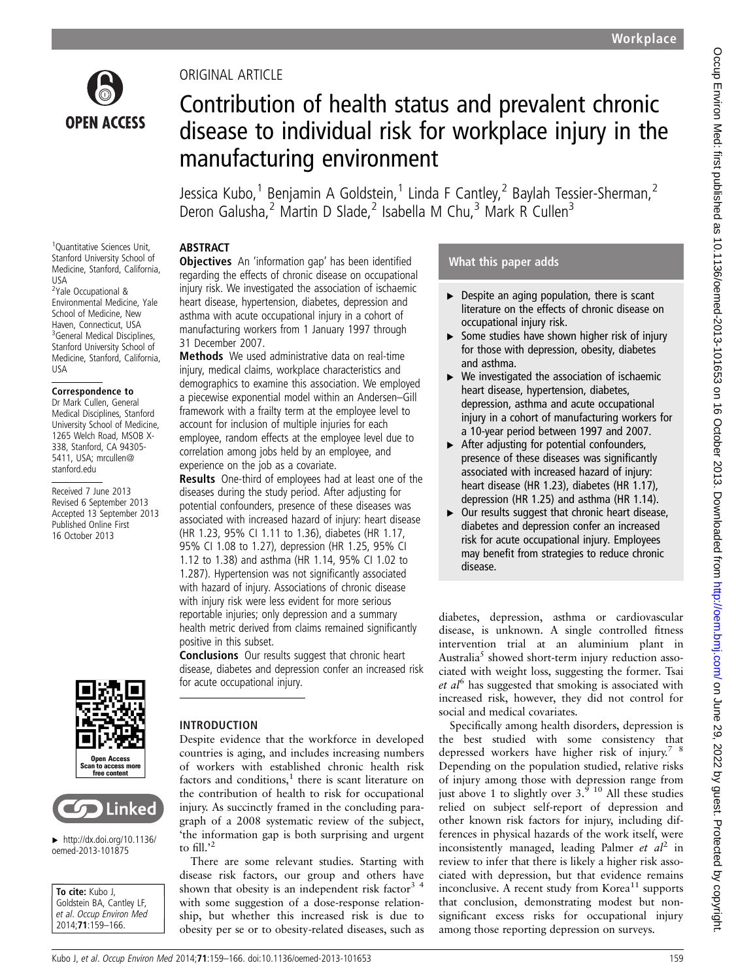

# Contribution of health status and prevalent chronic disease to individual risk for workplace injury in the manufacturing environment

Jessica Kubo,<sup>1</sup> Benjamin A Goldstein,<sup>1</sup> Linda F Cantley,<sup>2</sup> Baylah Tessier-Sherman,<sup>2</sup> Deron Galusha,<sup>2</sup> Martin D Slade,<sup>2</sup> Isabella M Chu,<sup>3</sup> Mark R Cullen<sup>3</sup>

# ABSTRACT

ORIGINAL ARTICLE

1 Quantitative Sciences Unit, Stanford University School of Medicine, Stanford, California, USA <sup>2</sup>Yale Occupational & Environmental Medicine, Yale School of Medicine, New Haven, Connecticut, USA <sup>3</sup> General Medical Disciplines, Stanford University School of Medicine, Stanford, California, USA

#### Correspondence to

Dr Mark Cullen, General Medical Disciplines, Stanford University School of Medicine, 1265 Welch Road, MSOB X-338, Stanford, CA 94305- 5411, USA; mrcullen@ stanford.edu

Received 7 June 2013 Revised 6 September 2013 Accepted 13 September 2013 Published Online First 16 October 2013



n to access



 $\blacktriangleright$  [http://dx.doi.org/10.1136/](http://dx.doi.org/10.1136/oemed-2013-101875) [oemed-2013-101875](http://dx.doi.org/10.1136/oemed-2013-101875)



**Objectives** An 'information gap' has been identified regarding the effects of chronic disease on occupational injury risk. We investigated the association of ischaemic heart disease, hypertension, diabetes, depression and asthma with acute occupational injury in a cohort of manufacturing workers from 1 January 1997 through 31 December 2007.

Methods We used administrative data on real-time injury, medical claims, workplace characteristics and demographics to examine this association. We employed a piecewise exponential model within an Andersen–Gill framework with a frailty term at the employee level to account for inclusion of multiple injuries for each employee, random effects at the employee level due to correlation among jobs held by an employee, and experience on the job as a covariate.

Results One-third of employees had at least one of the diseases during the study period. After adjusting for potential confounders, presence of these diseases was associated with increased hazard of injury: heart disease (HR 1.23, 95% CI 1.11 to 1.36), diabetes (HR 1.17, 95% CI 1.08 to 1.27), depression (HR 1.25, 95% CI 1.12 to 1.38) and asthma (HR 1.14, 95% CI 1.02 to 1.287). Hypertension was not significantly associated with hazard of injury. Associations of chronic disease with injury risk were less evident for more serious reportable injuries; only depression and a summary health metric derived from claims remained significantly positive in this subset.

**Conclusions** Our results suggest that chronic heart disease, diabetes and depression confer an increased risk for acute occupational injury.

# INTRODUCTION

Despite evidence that the workforce in developed countries is aging, and includes increasing numbers of workers with established chronic health risk factors and conditions, $<sup>1</sup>$  there is scant literature on</sup> the contribution of health to risk for occupational injury. As succinctly framed in the concluding paragraph of a 2008 systematic review of the subject, 'the information gap is both surprising and urgent to fill.'<sup>2</sup>

There are some relevant studies. Starting with disease risk factors, our group and others have shown that obesity is an independent risk factor<sup>3</sup>  $4$ with some suggestion of a dose-response relationship, but whether this increased risk is due to obesity per se or to obesity-related diseases, such as

# What this paper adds

- ▶ Despite an aging population, there is scant literature on the effects of chronic disease on occupational injury risk.
- $\triangleright$  Some studies have shown higher risk of injury for those with depression, obesity, diabetes and asthma.
- $\triangleright$  We investigated the association of ischaemic heart disease, hypertension, diabetes, depression, asthma and acute occupational injury in a cohort of manufacturing workers for a 10-year period between 1997 and 2007.
- ▸ After adjusting for potential confounders, presence of these diseases was significantly associated with increased hazard of injury: heart disease (HR 1.23), diabetes (HR 1.17), depression (HR 1.25) and asthma (HR 1.14).
- $\triangleright$  Our results suggest that chronic heart disease, diabetes and depression confer an increased risk for acute occupational injury. Employees may benefit from strategies to reduce chronic disease.

diabetes, depression, asthma or cardiovascular disease, is unknown. A single controlled fitness intervention trial at an aluminium plant in Australia<sup>5</sup> showed short-term injury reduction associated with weight loss, suggesting the former. Tsai  $et \, al^6$  has suggested that smoking is associated with increased risk, however, they did not control for social and medical covariates.

Specifically among health disorders, depression is the best studied with some consistency that depressed workers have higher risk of injury.7 8 Depending on the population studied, relative risks of injury among those with depression range from just above 1 to slightly over  $3.\overline{3}$  <sup>9</sup> 10 All these studies relied on subject self-report of depression and other known risk factors for injury, including differences in physical hazards of the work itself, were inconsistently managed, leading Palmer et  $al^2$  in review to infer that there is likely a higher risk associated with depression, but that evidence remains inconclusive. A recent study from  $Korea<sup>11</sup>$  supports that conclusion, demonstrating modest but nonsignificant excess risks for occupational injury among those reporting depression on surveys.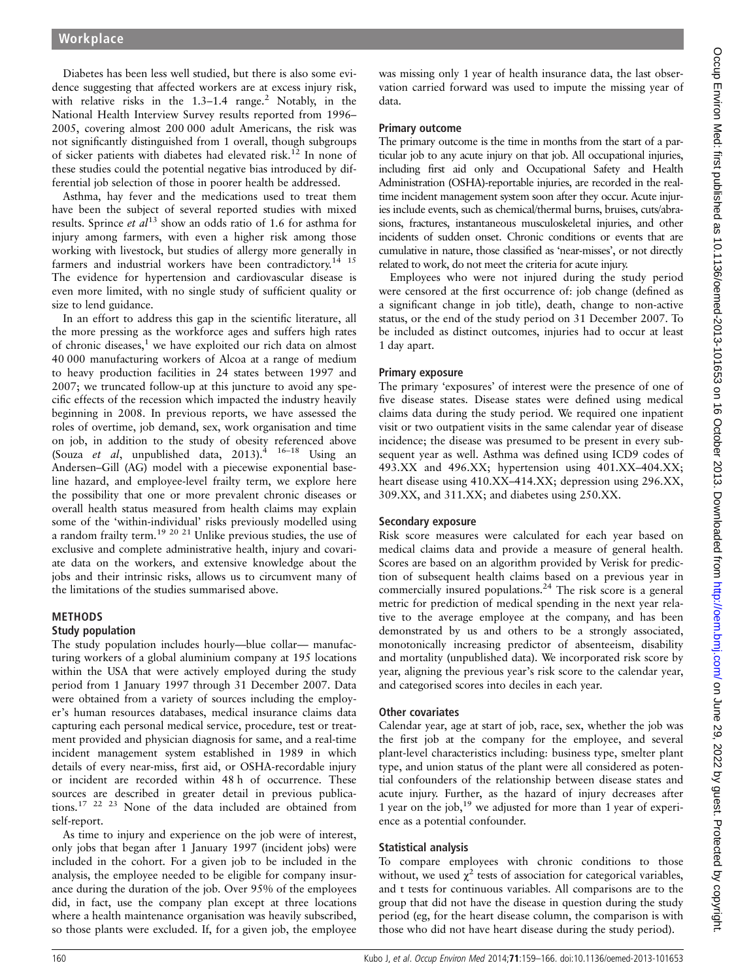Diabetes has been less well studied, but there is also some evidence suggesting that affected workers are at excess injury risk, with relative risks in the  $1.3-1.4$  range.<sup>2</sup> Notably, in the National Health Interview Survey results reported from 1996– 2005, covering almost 200 000 adult Americans, the risk was not significantly distinguished from 1 overall, though subgroups of sicker patients with diabetes had elevated risk.<sup>12</sup> In none of these studies could the potential negative bias introduced by differential job selection of those in poorer health be addressed.

Asthma, hay fever and the medications used to treat them have been the subject of several reported studies with mixed results. Sprince *et al*<sup>13</sup> show an odds ratio of 1.6 for asthma for injury among farmers, with even a higher risk among those working with livestock, but studies of allergy more generally in farmers and industrial workers have been contradictory.<sup>14</sup> <sup>15</sup> The evidence for hypertension and cardiovascular disease is even more limited, with no single study of sufficient quality or size to lend guidance.

In an effort to address this gap in the scientific literature, all the more pressing as the workforce ages and suffers high rates of chronic diseases,<sup>1</sup> we have exploited our rich data on almost 40 000 manufacturing workers of Alcoa at a range of medium to heavy production facilities in 24 states between 1997 and 2007; we truncated follow-up at this juncture to avoid any specific effects of the recession which impacted the industry heavily beginning in 2008. In previous reports, we have assessed the roles of overtime, job demand, sex, work organisation and time on job, in addition to the study of obesity referenced above (Souza et al, unpublished data,  $2013$ ).<sup>4 16–18</sup> Using an Andersen–Gill (AG) model with a piecewise exponential baseline hazard, and employee-level frailty term, we explore here the possibility that one or more prevalent chronic diseases or overall health status measured from health claims may explain some of the 'within-individual' risks previously modelled using a random frailty term.<sup>19 20 21</sup> Unlike previous studies, the use of exclusive and complete administrative health, injury and covariate data on the workers, and extensive knowledge about the jobs and their intrinsic risks, allows us to circumvent many of the limitations of the studies summarised above.

## METHODS

## Study population

The study population includes hourly—blue collar— manufacturing workers of a global aluminium company at 195 locations within the USA that were actively employed during the study period from 1 January 1997 through 31 December 2007. Data were obtained from a variety of sources including the employer's human resources databases, medical insurance claims data capturing each personal medical service, procedure, test or treatment provided and physician diagnosis for same, and a real-time incident management system established in 1989 in which details of every near-miss, first aid, or OSHA-recordable injury or incident are recorded within 48 h of occurrence. These sources are described in greater detail in previous publications.17 22 23 None of the data included are obtained from self-report.

As time to injury and experience on the job were of interest, only jobs that began after 1 January 1997 (incident jobs) were included in the cohort. For a given job to be included in the analysis, the employee needed to be eligible for company insurance during the duration of the job. Over 95% of the employees did, in fact, use the company plan except at three locations where a health maintenance organisation was heavily subscribed, so those plants were excluded. If, for a given job, the employee

was missing only 1 year of health insurance data, the last observation carried forward was used to impute the missing year of data.

#### Primary outcome

The primary outcome is the time in months from the start of a particular job to any acute injury on that job. All occupational injuries, including first aid only and Occupational Safety and Health Administration (OSHA)-reportable injuries, are recorded in the realtime incident management system soon after they occur. Acute injuries include events, such as chemical/thermal burns, bruises, cuts/abrasions, fractures, instantaneous musculoskeletal injuries, and other incidents of sudden onset. Chronic conditions or events that are cumulative in nature, those classified as 'near-misses', or not directly related to work, do not meet the criteria for acute injury.

Employees who were not injured during the study period were censored at the first occurrence of: job change (defined as a significant change in job title), death, change to non-active status, or the end of the study period on 31 December 2007. To be included as distinct outcomes, injuries had to occur at least 1 day apart.

## Primary exposure

The primary 'exposures' of interest were the presence of one of five disease states. Disease states were defined using medical claims data during the study period. We required one inpatient visit or two outpatient visits in the same calendar year of disease incidence; the disease was presumed to be present in every subsequent year as well. Asthma was defined using ICD9 codes of 493.XX and 496.XX; hypertension using 401.XX–404.XX; heart disease using 410.XX–414.XX; depression using 296.XX, 309.XX, and 311.XX; and diabetes using 250.XX.

## Secondary exposure

Risk score measures were calculated for each year based on medical claims data and provide a measure of general health. Scores are based on an algorithm provided by Verisk for prediction of subsequent health claims based on a previous year in commercially insured populations.<sup>24</sup> The risk score is a general metric for prediction of medical spending in the next year relative to the average employee at the company, and has been demonstrated by us and others to be a strongly associated, monotonically increasing predictor of absenteeism, disability and mortality (unpublished data). We incorporated risk score by year, aligning the previous year's risk score to the calendar year, and categorised scores into deciles in each year.

## Other covariates

Calendar year, age at start of job, race, sex, whether the job was the first job at the company for the employee, and several plant-level characteristics including: business type, smelter plant type, and union status of the plant were all considered as potential confounders of the relationship between disease states and acute injury. Further, as the hazard of injury decreases after 1 year on the job, $19$  we adjusted for more than 1 year of experience as a potential confounder.

## Statistical analysis

To compare employees with chronic conditions to those without, we used  $\chi^2$  tests of association for categorical variables, and t tests for continuous variables. All comparisons are to the group that did not have the disease in question during the study period (eg, for the heart disease column, the comparison is with those who did not have heart disease during the study period).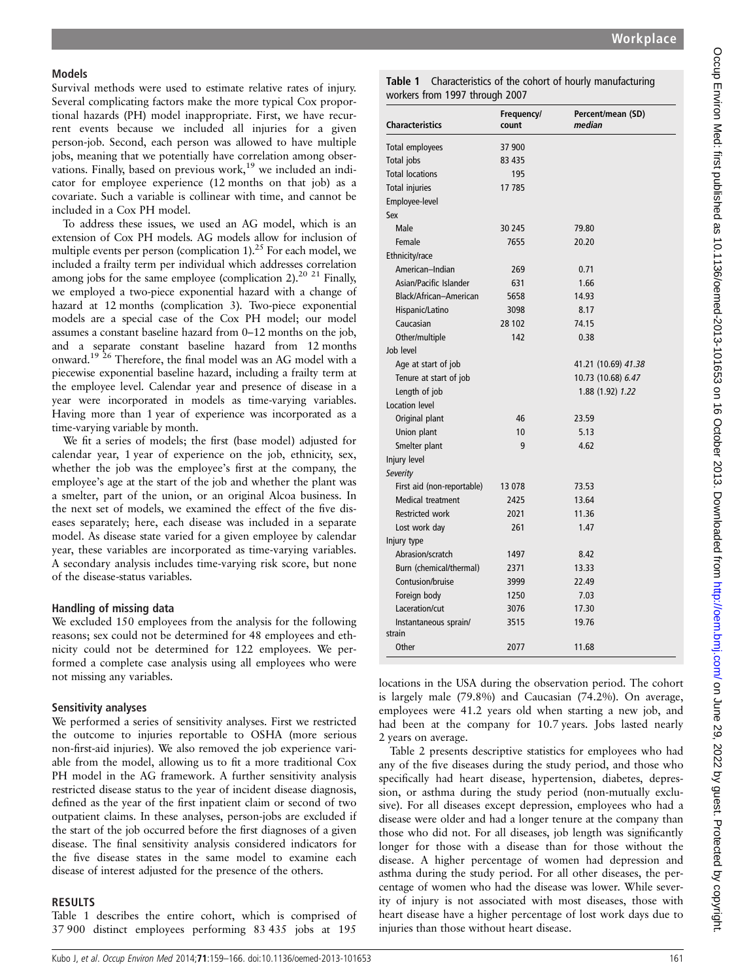#### Models

Survival methods were used to estimate relative rates of injury. Several complicating factors make the more typical Cox proportional hazards (PH) model inappropriate. First, we have recurrent events because we included all injuries for a given person-job. Second, each person was allowed to have multiple jobs, meaning that we potentially have correlation among observations. Finally, based on previous work,<sup>19</sup> we included an indicator for employee experience (12 months on that job) as a covariate. Such a variable is collinear with time, and cannot be included in a Cox PH model.

To address these issues, we used an AG model, which is an extension of Cox PH models. AG models allow for inclusion of multiple events per person (complication 1). $^{25}$  For each model, we included a frailty term per individual which addresses correlation among jobs for the same employee (complication 2).<sup>20 21</sup> Finally, we employed a two-piece exponential hazard with a change of hazard at 12 months (complication 3). Two-piece exponential models are a special case of the Cox PH model; our model assumes a constant baseline hazard from 0–12 months on the job, and a separate constant baseline hazard from 12 months onward.<sup>19 26</sup> Therefore, the final model was an AG model with a piecewise exponential baseline hazard, including a frailty term at the employee level. Calendar year and presence of disease in a year were incorporated in models as time-varying variables. Having more than 1 year of experience was incorporated as a time-varying variable by month.

We fit a series of models; the first (base model) adjusted for calendar year, 1 year of experience on the job, ethnicity, sex, whether the job was the employee's first at the company, the employee's age at the start of the job and whether the plant was a smelter, part of the union, or an original Alcoa business. In the next set of models, we examined the effect of the five diseases separately; here, each disease was included in a separate model. As disease state varied for a given employee by calendar year, these variables are incorporated as time-varying variables. A secondary analysis includes time-varying risk score, but none of the disease-status variables.

## Handling of missing data

We excluded 150 employees from the analysis for the following reasons; sex could not be determined for 48 employees and ethnicity could not be determined for 122 employees. We performed a complete case analysis using all employees who were not missing any variables.

## Sensitivity analyses

We performed a series of sensitivity analyses. First we restricted the outcome to injuries reportable to OSHA (more serious non-first-aid injuries). We also removed the job experience variable from the model, allowing us to fit a more traditional Cox PH model in the AG framework. A further sensitivity analysis restricted disease status to the year of incident disease diagnosis, defined as the year of the first inpatient claim or second of two outpatient claims. In these analyses, person-jobs are excluded if the start of the job occurred before the first diagnoses of a given disease. The final sensitivity analysis considered indicators for the five disease states in the same model to examine each disease of interest adjusted for the presence of the others.

## RESULTS

Table 1 describes the entire cohort, which is comprised of 37 900 distinct employees performing 83 435 jobs at 195

| <b>Table 1</b> Characteristics of the cohort of hourly manufacturing |  |  |
|----------------------------------------------------------------------|--|--|
| workers from 1997 through 2007                                       |  |  |

| <b>Characteristics</b>     | Frequency/<br>count | Percent/mean (SD)<br>median |
|----------------------------|---------------------|-----------------------------|
| Total employees            | 37 900              |                             |
| Total jobs                 | 83 435              |                             |
| <b>Total locations</b>     | 195                 |                             |
| <b>Total injuries</b>      | 17 785              |                             |
| Employee-level             |                     |                             |
| Sex                        |                     |                             |
| Male                       | 30 245              | 79.80                       |
| Female                     | 7655                | 20.20                       |
| Ethnicity/race             |                     |                             |
| American-Indian            | 269                 | 0.71                        |
| Asian/Pacific Islander     | 631                 | 1.66                        |
| Black/African-American     | 5658                | 14.93                       |
| Hispanic/Latino            | 3098                | 8.17                        |
| Caucasian                  | 28 102              | 74.15                       |
| Other/multiple             | 142                 | 0.38                        |
| Job level                  |                     |                             |
| Age at start of job        |                     | 41.21 (10.69) 41.38         |
| Tenure at start of job     |                     | 10.73 (10.68) 6.47          |
| Length of job              |                     | 1.88 (1.92) 1.22            |
| <b>Location level</b>      |                     |                             |
| Original plant             | 46                  | 23.59                       |
| Union plant                | 10                  | 5.13                        |
| Smelter plant              | 9                   | 4.62                        |
| Injury level               |                     |                             |
| <b>Severity</b>            |                     |                             |
| First aid (non-reportable) | 13 078              | 73.53                       |
| <b>Medical treatment</b>   | 2425                | 13.64                       |
| <b>Restricted work</b>     | 2021                | 11.36                       |
| Lost work day              | 261                 | 1.47                        |
| Injury type                |                     |                             |
| Abrasion/scratch           | 1497                | 8.42                        |
| Burn (chemical/thermal)    | 2371                | 13.33                       |
| Contusion/bruise           | 3999                | 22.49                       |
| Foreign body               | 1250                | 7.03                        |
| Laceration/cut             | 3076                | 17.30                       |
| Instantaneous sprain/      | 3515                | 19.76                       |
| strain                     |                     |                             |
| Other                      | 2077                | 11.68                       |

locations in the USA during the observation period. The cohort is largely male (79.8%) and Caucasian (74.2%). On average, employees were 41.2 years old when starting a new job, and had been at the company for 10.7 years. Jobs lasted nearly 2 years on average.

Table 2 presents descriptive statistics for employees who had any of the five diseases during the study period, and those who specifically had heart disease, hypertension, diabetes, depression, or asthma during the study period (non-mutually exclusive). For all diseases except depression, employees who had a disease were older and had a longer tenure at the company than those who did not. For all diseases, job length was significantly longer for those with a disease than for those without the disease. A higher percentage of women had depression and asthma during the study period. For all other diseases, the percentage of women who had the disease was lower. While severity of injury is not associated with most diseases, those with heart disease have a higher percentage of lost work days due to injuries than those without heart disease.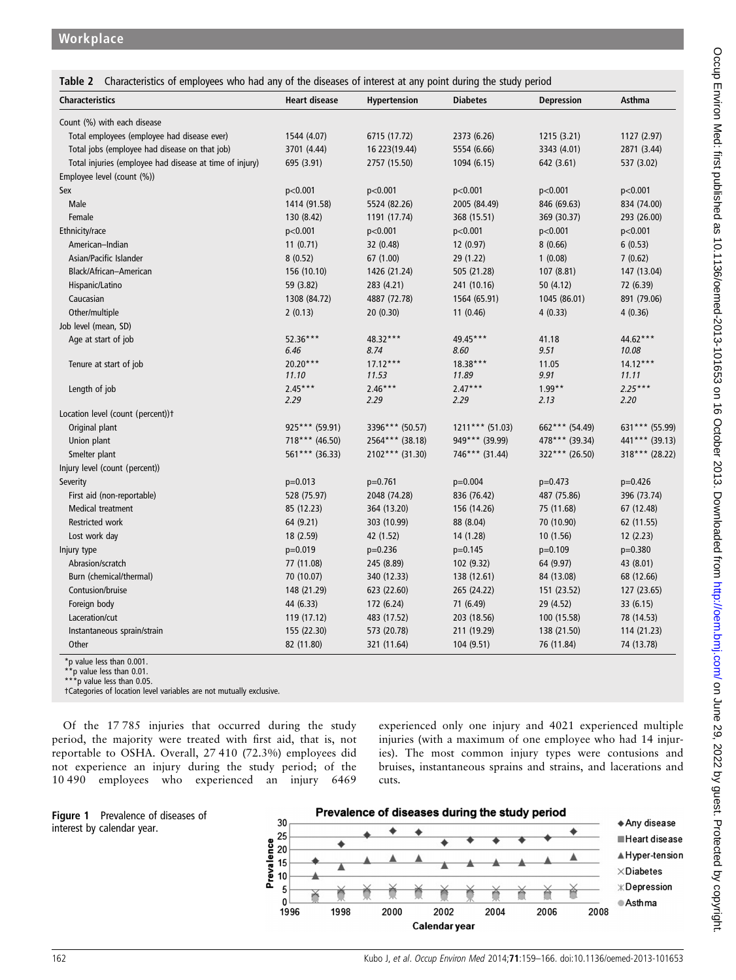| Other                              |  |
|------------------------------------|--|
| *p value less than 0.<br>$***$ $"$ |  |

†Categories of location level variables are not mutually exclusive.

Of the 17 785 injuries that occurred during the study period, the majority were treated with first aid, that is, not reportable to OSHA. Overall, 27 410 (72.3%) employees did not experience an injury during the study period; of the 10 490 employees who experienced an injury 6469

experienced only one injury and 4021 experienced multiple injuries (with a maximum of one employee who had 14 injuries). The most common injury types were contusions and bruises, instantaneous sprains and strains, and lacerations and cuts.





| <b>Characteristics</b>                                  | <b>Heart disease</b> | Hypertension    | <b>Diabetes</b>   | <b>Depression</b> | Asthma          |
|---------------------------------------------------------|----------------------|-----------------|-------------------|-------------------|-----------------|
| Count (%) with each disease                             |                      |                 |                   |                   |                 |
| Total employees (employee had disease ever)             | 1544 (4.07)          | 6715 (17.72)    | 2373 (6.26)       | 1215 (3.21)       | 1127 (2.97)     |
| Total jobs (employee had disease on that job)           | 3701 (4.44)          | 16 223 (19.44)  | 5554 (6.66)       | 3343 (4.01)       | 2871 (3.44)     |
| Total injuries (employee had disease at time of injury) | 695 (3.91)           | 2757 (15.50)    | 1094 (6.15)       | 642 (3.61)        | 537 (3.02)      |
| Employee level (count (%))                              |                      |                 |                   |                   |                 |
| Sex                                                     | p<0.001              | p<0.001         | p<0.001           | p<0.001           | p<0.001         |
| Male                                                    | 1414 (91.58)         | 5524 (82.26)    | 2005 (84.49)      | 846 (69.63)       | 834 (74.00)     |
| Female                                                  | 130 (8.42)           | 1191 (17.74)    | 368 (15.51)       | 369 (30.37)       | 293 (26.00)     |
| Ethnicity/race                                          | p<0.001              | p<0.001         | p<0.001           | p<0.001           | p<0.001         |
| American-Indian                                         | 11(0.71)             | 32 (0.48)       | 12 (0.97)         | 8(0.66)           | 6(0.53)         |
| Asian/Pacific Islander                                  | 8(0.52)              | 67 (1.00)       | 29 (1.22)         | 1(0.08)           | 7(0.62)         |
| Black/African-American                                  | 156 (10.10)          | 1426 (21.24)    | 505 (21.28)       | 107 (8.81)        | 147 (13.04)     |
| Hispanic/Latino                                         | 59 (3.82)            | 283 (4.21)      | 241 (10.16)       | 50 (4.12)         | 72 (6.39)       |
| Caucasian                                               | 1308 (84.72)         | 4887 (72.78)    | 1564 (65.91)      | 1045 (86.01)      | 891 (79.06)     |
| Other/multiple                                          | 2(0.13)              | 20(0.30)        | 11(0.46)          | 4(0.33)           | 4(0.36)         |
| Job level (mean, SD)                                    |                      |                 |                   |                   |                 |
| Age at start of job                                     | 52.36***             | 48.32***        | 49.45***          | 41.18             | 44.62***        |
|                                                         | 6.46                 | 8.74            | 8.60              | 9.51              | 10.08           |
| Tenure at start of job                                  | 20.20***             | $17.12***$      | $18.38***$        | 11.05             | $14.12***$      |
|                                                         | 11.10                | 11.53           | 11.89             | 9.91              | 11.11           |
| Length of job                                           | $2.45***$            | $2.46***$       | $2.47***$         | $1.99**$          | $2.25***$       |
|                                                         | 2.29                 | 2.29            | 2.29              | 2.13              | 2.20            |
| Location level (count (percent))t                       |                      |                 |                   |                   |                 |
| Original plant                                          | $925***$ (59.91)     | 3396*** (50.57) | $1211***$ (51.03) | 662*** (54.49)    | 631 *** (55.99) |
| Union plant                                             | $718***$ (46.50)     | 2564*** (38.18) | 949*** (39.99)    | 478*** (39.34)    | 441*** (39.13)  |
| Smelter plant                                           | $561***$ (36.33)     | 2102*** (31.30) | 746*** (31.44)    | $322***$ (26.50)  | 318*** (28.22)  |
| Injury level (count (percent))                          |                      |                 |                   |                   |                 |
| Severity                                                | $p=0.013$            | $p=0.761$       | $p=0.004$         | p=0.473           | $p=0.426$       |
| First aid (non-reportable)                              | 528 (75.97)          | 2048 (74.28)    | 836 (76.42)       | 487 (75.86)       | 396 (73.74)     |
| Medical treatment                                       | 85 (12.23)           | 364 (13.20)     | 156 (14.26)       | 75 (11.68)        | 67 (12.48)      |
| <b>Restricted work</b>                                  | 64 (9.21)            | 303 (10.99)     | 88 (8.04)         | 70 (10.90)        | 62 (11.55)      |
| Lost work day                                           | 18 (2.59)            | 42 (1.52)       | 14 (1.28)         | 10 (1.56)         | 12(2.23)        |
| Injury type                                             | $p=0.019$            | $p=0.236$       | $p=0.145$         | $p=0.109$         | $p=0.380$       |
| Abrasion/scratch                                        | 77 (11.08)           | 245 (8.89)      | 102 (9.32)        | 64 (9.97)         | 43 (8.01)       |
| Burn (chemical/thermal)                                 | 70 (10.07)           | 340 (12.33)     | 138 (12.61)       | 84 (13.08)        | 68 (12.66)      |
| Contusion/bruise                                        | 148 (21.29)          | 623 (22.60)     | 265 (24.22)       | 151 (23.52)       | 127 (23.65)     |
| Foreign body                                            | 44 (6.33)            | 172 (6.24)      | 71 (6.49)         | 29 (4.52)         | 33(6.15)        |
| Laceration/cut                                          | 119 (17.12)          | 483 (17.52)     | 203 (18.56)       | 100 (15.58)       | 78 (14.53)      |
| Instantaneous sprain/strain                             | 155 (22.30)          | 573 (20.78)     | 211 (19.29)       | 138 (21.50)       | 114 (21.23)     |
| Other                                                   | 82 (11.80)           | 321 (11.64)     | 104 (9.51)        | 76 (11.84)        | 74 (13.78)      |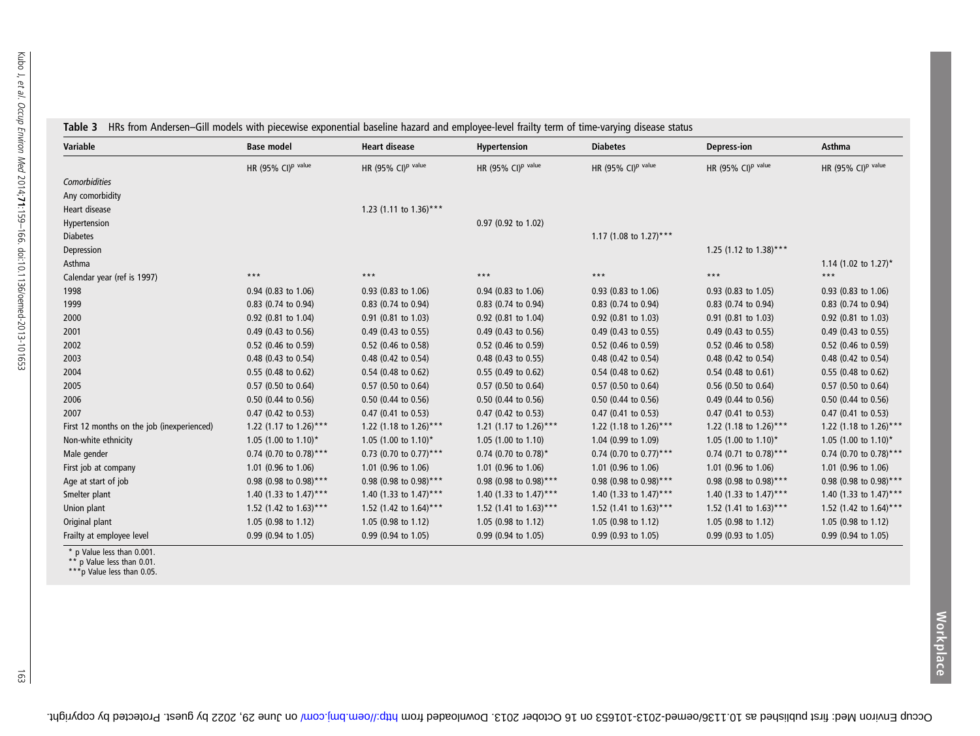| Table 3 | HRs from Andersen–Gill models with piecewise exponential baseline hazard and emplovee-level frailty term of time-varving disease status |  |  |  |  |  |  |  |  |
|---------|-----------------------------------------------------------------------------------------------------------------------------------------|--|--|--|--|--|--|--|--|
|---------|-----------------------------------------------------------------------------------------------------------------------------------------|--|--|--|--|--|--|--|--|

| Variable                                   | <b>Base model</b>                | <b>Heart disease</b>           | Hypertension                   | <b>Diabetes</b>                | <b>Depress-ion</b>               | Asthma                           |
|--------------------------------------------|----------------------------------|--------------------------------|--------------------------------|--------------------------------|----------------------------------|----------------------------------|
|                                            | HR (95% CI) <sup>p value</sup>   | HR (95% CI) <sup>p value</sup> | HR (95% CI) <sup>p value</sup> | HR (95% CI) <sup>p value</sup> | HR (95% CI) <sup>p value</sup>   | HR (95% CI) <sup>p value</sup>   |
| Comorbidities                              |                                  |                                |                                |                                |                                  |                                  |
| Any comorbidity                            |                                  |                                |                                |                                |                                  |                                  |
| Heart disease                              |                                  | 1.23 (1.11 to 1.36)***         |                                |                                |                                  |                                  |
| Hypertension                               |                                  |                                | 0.97 (0.92 to 1.02)            |                                |                                  |                                  |
| <b>Diabetes</b>                            |                                  |                                |                                | 1.17 (1.08 to 1.27)***         |                                  |                                  |
| Depression                                 |                                  |                                |                                |                                | 1.25 (1.12 to 1.38)***           |                                  |
| Asthma                                     |                                  |                                |                                |                                |                                  | 1.14 (1.02 to $1.27$ )*          |
| Calendar year (ref is 1997)                | ***                              | $***$                          | $\star\star\star$              | $***$                          | $***$                            | $\star\star\star$                |
| 1998                                       | 0.94 (0.83 to 1.06)              | 0.93 (0.83 to 1.06)            | $0.94$ (0.83 to 1.06)          | 0.93 (0.83 to 1.06)            | $0.93$ (0.83 to 1.05)            | 0.93 (0.83 to 1.06)              |
| 1999                                       | 0.83 (0.74 to 0.94)              | 0.83 (0.74 to 0.94)            | 0.83 (0.74 to 0.94)            | 0.83 (0.74 to 0.94)            | 0.83 (0.74 to 0.94)              | 0.83 (0.74 to 0.94)              |
| 2000                                       | 0.92 (0.81 to 1.04)              | 0.91 (0.81 to 1.03)            | 0.92 (0.81 to 1.04)            | 0.92 (0.81 to 1.03)            | 0.91 (0.81 to 1.03)              | 0.92 (0.81 to 1.03)              |
| 2001                                       | $0.49$ (0.43 to 0.56)            | $0.49$ (0.43 to 0.55)          | $0.49$ (0.43 to 0.56)          | $0.49$ (0.43 to 0.55)          | $0.49$ (0.43 to 0.55)            | $0.49$ (0.43 to 0.55)            |
| 2002                                       | 0.52 (0.46 to 0.59)              | 0.52 (0.46 to 0.58)            | 0.52 (0.46 to 0.59)            | 0.52 (0.46 to 0.59)            | 0.52 (0.46 to 0.58)              | 0.52 (0.46 to 0.59)              |
| 2003                                       | 0.48 (0.43 to 0.54)              | 0.48 (0.42 to 0.54)            | 0.48 (0.43 to 0.55)            | 0.48 (0.42 to 0.54)            | 0.48 (0.42 to 0.54)              | 0.48 (0.42 to 0.54)              |
| 2004                                       | $0.55$ (0.48 to 0.62)            | $0.54$ (0.48 to 0.62)          | $0.55$ (0.49 to 0.62)          | $0.54$ (0.48 to 0.62)          | $0.54$ (0.48 to 0.61)            | $0.55$ (0.48 to 0.62)            |
| 2005                                       | 0.57 (0.50 to 0.64)              | 0.57 (0.50 to 0.64)            | 0.57 (0.50 to 0.64)            | 0.57 (0.50 to 0.64)            | 0.56 (0.50 to 0.64)              | 0.57 (0.50 to 0.64)              |
| 2006                                       | 0.50 (0.44 to 0.56)              | 0.50 (0.44 to 0.56)            | $0.50$ (0.44 to 0.56)          | $0.50$ (0.44 to 0.56)          | $0.49$ (0.44 to 0.56)            | $0.50$ (0.44 to 0.56)            |
| 2007                                       | $0.47$ (0.42 to 0.53)            | $0.47$ (0.41 to 0.53)          | $0.47$ (0.42 to 0.53)          | $0.47$ (0.41 to 0.53)          | $0.47$ (0.41 to 0.53)            | $0.47$ (0.41 to 0.53)            |
| First 12 months on the job (inexperienced) | 1.22 (1.17 to 1.26)***           | 1.22 (1.18 to 1.26)***         | 1.21 (1.17 to 1.26)***         | 1.22 (1.18 to 1.26)***         | 1.22 (1.18 to 1.26)***           | 1.22 (1.18 to 1.26)***           |
| Non-white ethnicity                        | 1.05 $(1.00 \text{ to } 1.10)^*$ | 1.05 (1.00 to 1.10)*           | 1.05 (1.00 to 1.10)            | 1.04 (0.99 to 1.09)            | 1.05 $(1.00 \text{ to } 1.10)^*$ | 1.05 $(1.00 \text{ to } 1.10)^*$ |
| Male gender                                | $0.74$ (0.70 to 0.78)***         | 0.73 (0.70 to 0.77)***         | 0.74 (0.70 to 0.78)*           | 0.74 (0.70 to 0.77)***         | $0.74$ (0.71 to 0.78)***         | 0.74 (0.70 to 0.78)***           |
| First job at company                       | 1.01 (0.96 to 1.06)              | 1.01 (0.96 to 1.06)            | 1.01 (0.96 to 1.06)            | 1.01 (0.96 to 1.06)            | 1.01 (0.96 to 1.06)              | 1.01 (0.96 to 1.06)              |
| Age at start of job                        | 0.98 (0.98 to 0.98)***           | 0.98 (0.98 to 0.98)***         | 0.98 (0.98 to 0.98)***         | 0.98 (0.98 to 0.98)***         | 0.98 (0.98 to 0.98)***           | 0.98 (0.98 to 0.98)***           |
| Smelter plant                              | 1.40 (1.33 to 1.47)***           | 1.40 (1.33 to 1.47)***         | 1.40 (1.33 to 1.47)***         | 1.40 (1.33 to 1.47)***         | 1.40 (1.33 to 1.47)***           | 1.40 (1.33 to 1.47)***           |
| Union plant                                | 1.52 (1.42 to 1.63)***           | 1.52 (1.42 to 1.64)***         | 1.52 (1.41 to 1.63)***         | 1.52 (1.41 to 1.63)***         | 1.52 (1.41 to 1.63)***           | 1.52 (1.42 to 1.64)***           |
| Original plant                             | 1.05 (0.98 to 1.12)              | 1.05 (0.98 to 1.12)            | 1.05 (0.98 to 1.12)            | 1.05 (0.98 to 1.12)            | 1.05 (0.98 to 1.12)              | 1.05 (0.98 to 1.12)              |
| Frailty at employee level                  | $0.99$ (0.94 to 1.05)            | 0.99 (0.94 to 1.05)            | 0.99 (0.94 to 1.05)            | $0.99$ (0.93 to 1.05)          | $0.99$ (0.93 to 1.05)            | 0.99 (0.94 to 1.05)              |

\* p Value less than 0.001. \*\* p Value less than 0.01. \*\*\*p Value less than 0.05.

 $\overline{5}$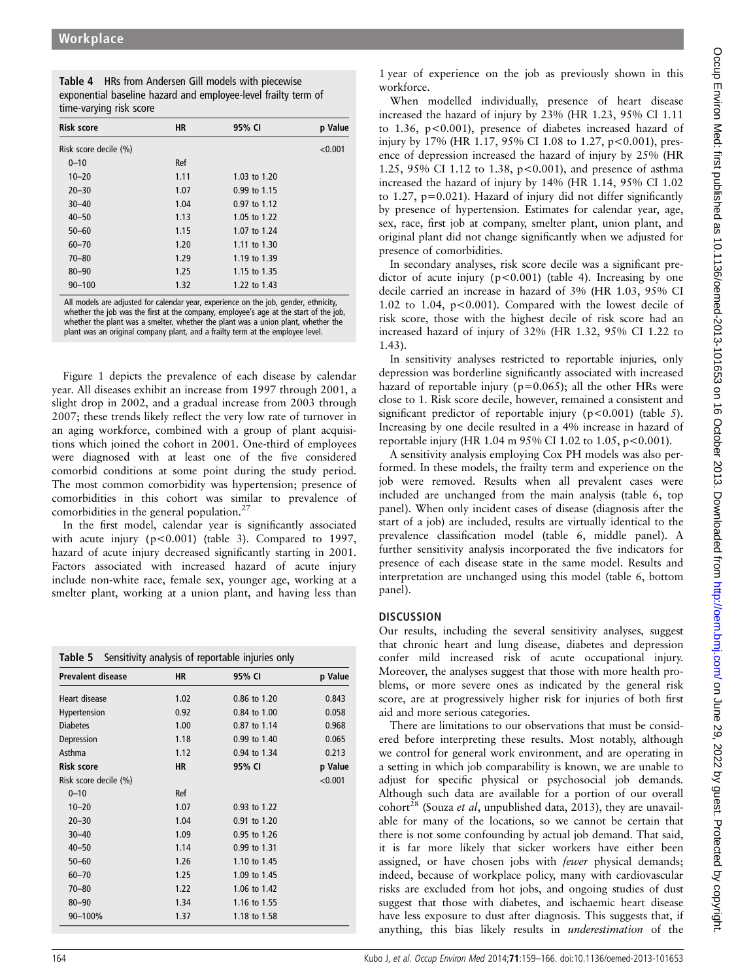| <b>Table 4</b> HRs from Andersen Gill models with piecewise    |
|----------------------------------------------------------------|
| exponential baseline hazard and employee-level frailty term of |
| time-varying risk score                                        |

| <b>Risk score</b>     | <b>HR</b> | 95% CI       | p Value |
|-----------------------|-----------|--------------|---------|
| Risk score decile (%) |           |              | < 0.001 |
| $0 - 10$              | Ref       |              |         |
| $10 - 20$             | 1.11      | 1.03 to 1.20 |         |
| $20 - 30$             | 1.07      | 0.99 to 1.15 |         |
| $30 - 40$             | 1.04      | 0.97 to 1.12 |         |
| $40 - 50$             | 1.13      | 1.05 to 1.22 |         |
| $50 - 60$             | 1.15      | 1.07 to 1.24 |         |
| $60 - 70$             | 1.20      | 1.11 to 1.30 |         |
| $70 - 80$             | 1.29      | 1.19 to 1.39 |         |
| $80 - 90$             | 1.25      | 1.15 to 1.35 |         |
| $90 - 100$            | 1.32      | 1.22 to 1.43 |         |
|                       |           |              |         |

All models are adjusted for calendar year, experience on the job, gender, ethnicity, whether the job was the first at the company, employee's age at the start of the job, whether the plant was a smelter, whether the plant was a union plant, whether the plant was an original company plant, and a frailty term at the employee level.

Figure 1 depicts the prevalence of each disease by calendar year. All diseases exhibit an increase from 1997 through 2001, a slight drop in 2002, and a gradual increase from 2003 through 2007; these trends likely reflect the very low rate of turnover in an aging workforce, combined with a group of plant acquisitions which joined the cohort in 2001. One-third of employees were diagnosed with at least one of the five considered comorbid conditions at some point during the study period. The most common comorbidity was hypertension; presence of comorbidities in this cohort was similar to prevalence of comorbidities in the general population.<sup>27</sup>

In the first model, calendar year is significantly associated with acute injury  $(p<0.001)$  (table 3). Compared to 1997, hazard of acute injury decreased significantly starting in 2001. Factors associated with increased hazard of acute injury include non-white race, female sex, younger age, working at a smelter plant, working at a union plant, and having less than

| Table 5 |  |  | Sensitivity analysis of reportable injuries only |  |
|---------|--|--|--------------------------------------------------|--|
|---------|--|--|--------------------------------------------------|--|

| <b>Prevalent disease</b> | HR        | 95% CI       | p Value |
|--------------------------|-----------|--------------|---------|
| Heart disease            | 1.02      | 0.86 to 1.20 | 0.843   |
| Hypertension             | 0.92      | 0.84 to 1.00 | 0.058   |
| <b>Diabetes</b>          | 1.00      | 0.87 to 1.14 | 0.968   |
| Depression               | 1.18      | 0.99 to 1.40 | 0.065   |
| Asthma                   | 1.12      | 0.94 to 1.34 | 0.213   |
| <b>Risk score</b>        | <b>HR</b> | 95% CI       | p Value |
| Risk score decile (%)    |           |              | < 0.001 |
| $0 - 10$                 | Ref       |              |         |
| $10 - 20$                | 1.07      | 0.93 to 1.22 |         |
| $20 - 30$                | 1.04      | 0.91 to 1.20 |         |
| $30 - 40$                | 1.09      | 0.95 to 1.26 |         |
| $40 - 50$                | 1.14      | 0.99 to 1.31 |         |
| $50 - 60$                | 1.26      | 1.10 to 1.45 |         |
| $60 - 70$                | 1.25      | 1.09 to 1.45 |         |
| $70 - 80$                | 1.22      | 1.06 to 1.42 |         |
| $80 - 90$                | 1.34      | 1.16 to 1.55 |         |
| 90-100%                  | 1.37      | 1.18 to 1.58 |         |
|                          |           |              |         |

1 year of experience on the job as previously shown in this workforce.

When modelled individually, presence of heart disease increased the hazard of injury by 23% (HR 1.23, 95% CI 1.11 to 1.36, p<0.001), presence of diabetes increased hazard of injury by 17% (HR 1.17, 95% CI 1.08 to 1.27, p < 0.001), presence of depression increased the hazard of injury by 25% (HR 1.25, 95% CI 1.12 to 1.38, p<0.001), and presence of asthma increased the hazard of injury by 14% (HR 1.14, 95% CI 1.02 to 1.27, p=0.021). Hazard of injury did not differ significantly by presence of hypertension. Estimates for calendar year, age, sex, race, first job at company, smelter plant, union plant, and original plant did not change significantly when we adjusted for presence of comorbidities.

In secondary analyses, risk score decile was a significant predictor of acute injury  $(p<0.001)$  (table 4). Increasing by one decile carried an increase in hazard of 3% (HR 1.03, 95% CI 1.02 to 1.04, p<0.001). Compared with the lowest decile of risk score, those with the highest decile of risk score had an increased hazard of injury of 32% (HR 1.32, 95% CI 1.22 to 1.43).

In sensitivity analyses restricted to reportable injuries, only depression was borderline significantly associated with increased hazard of reportable injury ( $p=0.065$ ); all the other HRs were close to 1. Risk score decile, however, remained a consistent and significant predictor of reportable injury ( $p < 0.001$ ) (table 5). Increasing by one decile resulted in a 4% increase in hazard of reportable injury (HR 1.04 m 95% CI 1.02 to 1.05, p<0.001).

A sensitivity analysis employing Cox PH models was also performed. In these models, the frailty term and experience on the job were removed. Results when all prevalent cases were included are unchanged from the main analysis (table 6, top panel). When only incident cases of disease (diagnosis after the start of a job) are included, results are virtually identical to the prevalence classification model (table 6, middle panel). A further sensitivity analysis incorporated the five indicators for presence of each disease state in the same model. Results and interpretation are unchanged using this model (table 6, bottom panel).

## **DISCUSSION**

Our results, including the several sensitivity analyses, suggest that chronic heart and lung disease, diabetes and depression confer mild increased risk of acute occupational injury. Moreover, the analyses suggest that those with more health problems, or more severe ones as indicated by the general risk score, are at progressively higher risk for injuries of both first aid and more serious categories.

There are limitations to our observations that must be considered before interpreting these results. Most notably, although we control for general work environment, and are operating in a setting in which job comparability is known, we are unable to adjust for specific physical or psychosocial job demands. Although such data are available for a portion of our overall cohort<sup>28</sup> (Souza *et al*, unpublished data, 2013), they are unavailable for many of the locations, so we cannot be certain that there is not some confounding by actual job demand. That said, it is far more likely that sicker workers have either been assigned, or have chosen jobs with *fewer* physical demands; indeed, because of workplace policy, many with cardiovascular risks are excluded from hot jobs, and ongoing studies of dust suggest that those with diabetes, and ischaemic heart disease have less exposure to dust after diagnosis. This suggests that, if anything, this bias likely results in underestimation of the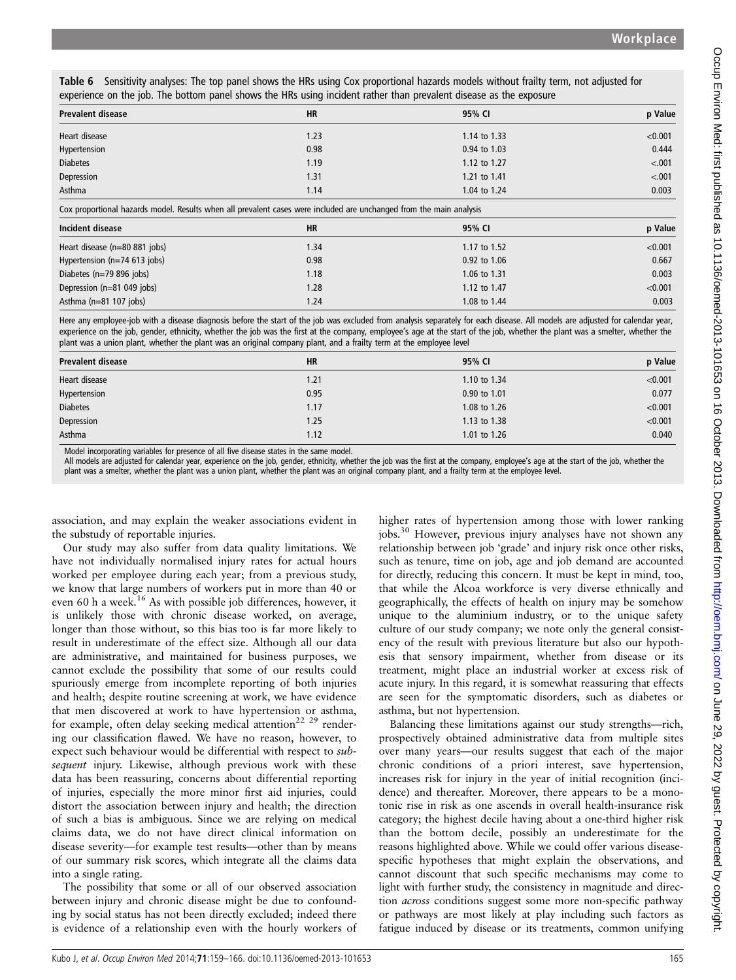|                                                                                                                    |  |  | Table 6 Sensitivity analyses: The top panel shows the HRs using Cox proportional hazards models without frailty term, not adjusted for |  |
|--------------------------------------------------------------------------------------------------------------------|--|--|----------------------------------------------------------------------------------------------------------------------------------------|--|
| experience on the job. The bottom panel shows the HRs using incident rather than prevalent disease as the exposure |  |  |                                                                                                                                        |  |

| <b>Prevalent disease</b> | <b>HR</b>                                                                                                           | 95% CI       | p Value |
|--------------------------|---------------------------------------------------------------------------------------------------------------------|--------------|---------|
| Heart disease            | 1.23                                                                                                                | 1.14 to 1.33 | < 0.001 |
| Hypertension             | 0.98                                                                                                                | 0.94 to 1.03 | 0.444   |
| <b>Diabetes</b>          | 1.19                                                                                                                | 1.12 to 1.27 | $-.001$ |
| Depression               | 1.31                                                                                                                | 1.21 to 1.41 | $-.001$ |
| Asthma                   | 1.14                                                                                                                | 1.04 to 1.24 | 0.003   |
|                          | Cox proportional hazards model. Results when all prevalent cases were included are unchanged from the main analysis |              |         |
| Incident disease         | <b>HR</b>                                                                                                           | 95% CI       | p Value |

| ilitiuelli uisease              | пn   | <b>3370 CL</b> | p value |
|---------------------------------|------|----------------|---------|
| Heart disease (n=80 881 jobs)   | 1.34 | 1.17 to 1.52   | < 0.001 |
| Hypertension ( $n=74$ 613 jobs) | 0.98 | 0.92 to 1.06   | 0.667   |
| Diabetes ( $n=79896$ jobs)      | 1.18 | 1.06 to 1.31   | 0.003   |
| Depression (n=81 049 jobs)      | 1.28 | 1.12 to 1.47   | < 0.001 |
| Asthma $(n=81 107 jobs)$        | 1.24 | 1.08 to 1.44   | 0.003   |

Here any employee-job with a disease diagnosis before the start of the job was excluded from analysis separately for each disease. All models are adjusted for calendar year, experience on the job, gender, ethnicity, whether the job was the first at the company, employee's age at the start of the job, whether the plant was a smelter, whether the plant was a union plant, whether the plant was an original company plant, and a frailty term at the employee level

| <b>Prevalent disease</b> | <b>HR</b> | 95% CI       | p Value |  |
|--------------------------|-----------|--------------|---------|--|
| Heart disease            | 1.21      | 1.10 to 1.34 | < 0.001 |  |
| Hypertension             | 0.95      | 0.90 to 1.01 | 0.077   |  |
| <b>Diabetes</b>          | 1.17      | 1.08 to 1.26 | < 0.001 |  |
| Depression               | 1.25      | 1.13 to 1.38 | < 0.001 |  |
| Asthma                   | 1.12      | 1.01 to 1.26 | 0.040   |  |

Model incorporating variables for presence of all five disease states in the same model.

All models are adjusted for calendar year, experience on the job, gender, ethnicity, whether the job was the first at the company, employee's age at the start of the job, whether the plant was a smelter, whether the plant was a union plant, whether the plant was an original company plant, and a frailty term at the employee level.

association, and may explain the weaker associations evident in the substudy of reportable injuries.

Our study may also suffer from data quality limitations. We have not individually normalised injury rates for actual hours worked per employee during each year; from a previous study, we know that large numbers of workers put in more than 40 or even 60 h a week.<sup>16</sup> As with possible job differences, however, it is unlikely those with chronic disease worked, on average, longer than those without, so this bias too is far more likely to result in underestimate of the effect size. Although all our data are administrative, and maintained for business purposes, we cannot exclude the possibility that some of our results could spuriously emerge from incomplete reporting of both injuries and health; despite routine screening at work, we have evidence that men discovered at work to have hypertension or asthma, for example, often delay seeking medical attention<sup>22</sup> <sup>29</sup> rendering our classification flawed. We have no reason, however, to expect such behaviour would be differential with respect to subsequent injury. Likewise, although previous work with these data has been reassuring, concerns about differential reporting of injuries, especially the more minor first aid injuries, could distort the association between injury and health; the direction of such a bias is ambiguous. Since we are relying on medical claims data, we do not have direct clinical information on disease severity—for example test results—other than by means of our summary risk scores, which integrate all the claims data into a single rating.

The possibility that some or all of our observed association between injury and chronic disease might be due to confounding by social status has not been directly excluded; indeed there is evidence of a relationship even with the hourly workers of

higher rates of hypertension among those with lower ranking jobs.<sup>30</sup> However, previous injury analyses have not shown any relationship between job 'grade' and injury risk once other risks, such as tenure, time on job, age and job demand are accounted for directly, reducing this concern. It must be kept in mind, too, that while the Alcoa workforce is very diverse ethnically and geographically, the effects of health on injury may be somehow unique to the aluminium industry, or to the unique safety culture of our study company; we note only the general consistency of the result with previous literature but also our hypothesis that sensory impairment, whether from disease or its treatment, might place an industrial worker at excess risk of acute injury. In this regard, it is somewhat reassuring that effects are seen for the symptomatic disorders, such as diabetes or asthma, but not hypertension.

Balancing these limitations against our study strengths—rich, prospectively obtained administrative data from multiple sites over many years—our results suggest that each of the major chronic conditions of a priori interest, save hypertension, increases risk for injury in the year of initial recognition (incidence) and thereafter. Moreover, there appears to be a monotonic rise in risk as one ascends in overall health-insurance risk category; the highest decile having about a one-third higher risk than the bottom decile, possibly an underestimate for the reasons highlighted above. While we could offer various diseasespecific hypotheses that might explain the observations, and cannot discount that such specific mechanisms may come to light with further study, the consistency in magnitude and direction across conditions suggest some more non-specific pathway or pathways are most likely at play including such factors as fatigue induced by disease or its treatments, common unifying